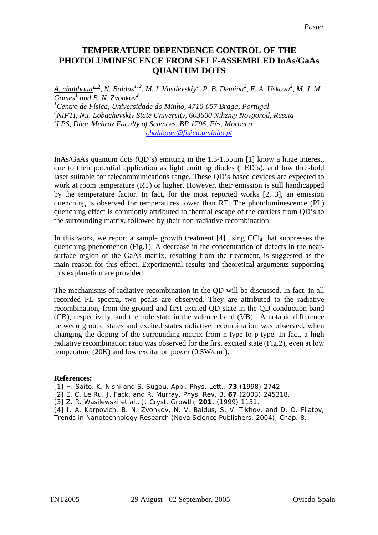## **TEMPERATURE DEPENDENCE CONTROL OF THE PHOTOLUMINESCENCE FROM SELF-ASSEMBLED InAs/GaAs QUANTUM DOTS**

*A. chahboun*<sup>1, 3</sup>, *N. Baidus<sup>1, 2</sup>, M. I. Vasilevskiy*<sup>1</sup>, *P. B. Demina*<sup>2</sup>, *E. A. Uskova*<sup>2</sup>, *M. J. M. Gomes<sup>1</sup> and B. N. Zvonkov<sup>2</sup> 1 Centro de Física, Universidade do Minho, 4710-057 Braga, Portugal* 

*2 NIFTI, N.I. Lobachevskiy State University, 603600 Nihzniy Novgorod, Russia 3 LPS, Dhar Mehraz Faculty of Sciences, BP 1796, Fès, Morocco [chahboun@fisica.uminho.pt](mailto:chahboun@fisica.uminho.pt)*

InAs/GaAs quantum dots (QD's) emitting in the 1.3-1.55µm [1] know a huge interest, due to their potential application as light emitting diodes (LED's), and low threshold laser suitable for telecommunications range. These QD's based devices are expected to work at room temperature (RT) or higher. However, their emission is still handicapped by the temperature factor. In fact, for the most reported works [2, 3], an emission quenching is observed for temperatures lower than RT. The photoluminescence (PL) quenching effect is commonly attributed to thermal escape of the carriers from QD's to the surrounding matrix, followed by their non-radiative recombination.

In this work, we report a sample growth treatment  $[4]$  using  $CCl<sub>4</sub>$  that suppresses the quenching phenomenon (Fig.1). A decrease in the concentration of defects in the nearsurface region of the GaAs matrix, resulting from the treatment, is suggested as the main reason for this effect. Experimental results and theoretical arguments supporting this explanation are provided.

The mechanisms of radiative recombination in the QD will be discussed. In fact, in all recorded PL spectra, two peaks are observed. They are attributed to the radiative recombination, from the ground and first excited QD state in the QD conduction band (CB), respectively, and the hole state in the valence band (VB). A notable difference between ground states and excited states radiative recombination was observed, when changing the doping of the surrounding matrix from n-type to p-type. In fact, a high radiative recombination ratio was observed for the first excited state (Fig.2), even at low temperature (20K) and low excitation power (0.5W/cm<sup>2</sup>).

## **References:**

[1] H. Saito, K. Nishi and S. Sugou, Appl. Phys. Lett., **73** (1998) 2742.

[2] E. C. Le Ru, J. Fack, and R. Murray, Phys. Rev. B, **67** (2003) 245318.

[3] Z. R. Wasilewski et al., J. Cryst. Growth, **201**, (1999) 1131.

[4] I. A. Karpovich, B. N. Zvonkov, N. V. Baidus, S. V. Tikhov, and D. O. Filatov, Trends in Nanotechnology Research (Nova Science Publishers, 2004), Chap. 8.